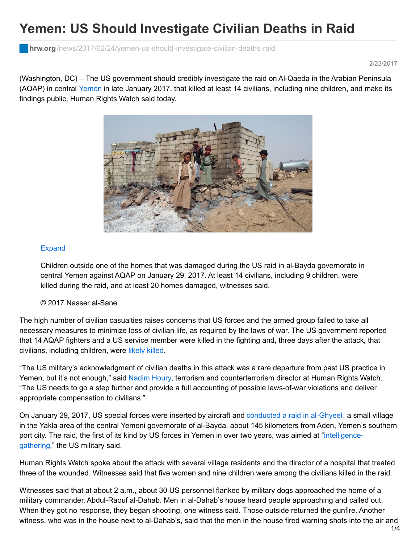## **Yemen: US Should Investigate Civilian Deaths in Raid**

**hrw.org**[/news/2017/02/24/yemen-us-should-investigate-civilian-deaths-raid](https://www.hrw.org/news/2017/02/24/yemen-us-should-investigate-civilian-deaths-raid)

2/23/2017

(Washington, DC) – The US government should credibly investigate the raid on Al-Qaeda in the Arabian Peninsula (AQAP) in central [Yemen](https://www.hrw.org/middle-east/n-africa/yemen) in late January 2017, that killed at least 14 civilians, including nine children, and make its findings public, Human Rights Watch said today.



## [Expand](https://www.hrw.org/view-mode/modal/300472)

Children outside one of the homes that was damaged during the US raid in al-Bayda governorate in central Yemen against AQAP on January 29, 2017. At least 14 civilians, including 9 children, were killed during the raid, and at least 20 homes damaged, witnesses said.

## © 2017 Nasser al-Sane

The high number of civilian casualties raises concerns that US forces and the armed group failed to take all necessary measures to minimize loss of civilian life, as required by the laws of war. The US government reported that 14 AQAP fighters and a US service member were killed in the fighting and, three days after the attack, that civilians, including children, were [likely](http://www.centcom.mil/MEDIA/PRESS-RELEASES/Press-Release-View/Article/1068267/us-central-command-statement-on-yemen-raid/) killed.

"The US military's acknowledgment of civilian deaths in this attack was a rare departure from past US practice in Yemen, but it's not enough," said [Nadim](https://www.hrw.org/about/people/nadim-houry) Houry, terrorism and counterterrorism director at Human Rights Watch. "The US needs to go a step further and provide a full accounting of possible laws-of-war violations and deliver appropriate compensation to civilians."

On January 29, 2017, US special forces were inserted by aircraft and [conducted](https://www.thebureauinvestigates.com/stories/2017-02-09/nine-young-children-killed-the-full-details-of-botched-us-raid-in-yemen) a raid in al-Ghyeel, a small village in the Yakla area of the central Yemeni governorate of al-Bayda, about 145 kilometers from Aden, Yemen's southern port city. The raid, the first of its kind by US forces in Yemen in over two years, was aimed at ["intelligence](https://www.whitehouse.gov/the-press-office/2017/02/07/press-briefing-press-secretary-sean-spicer-272017-9)gathering," the US military said.

Human Rights Watch spoke about the attack with several village residents and the director of a hospital that treated three of the wounded. Witnesses said that five women and nine children were among the civilians killed in the raid.

Witnesses said that at about 2 a.m., about 30 US personnel flanked by military dogs approached the home of a military commander, Abdul-Raouf al-Dahab. Men in al-Dahab's house heard people approaching and called out. When they got no response, they began shooting, one witness said. Those outside returned the gunfire. Another witness, who was in the house next to al-Dahab's, said that the men in the house fired warning shots into the air and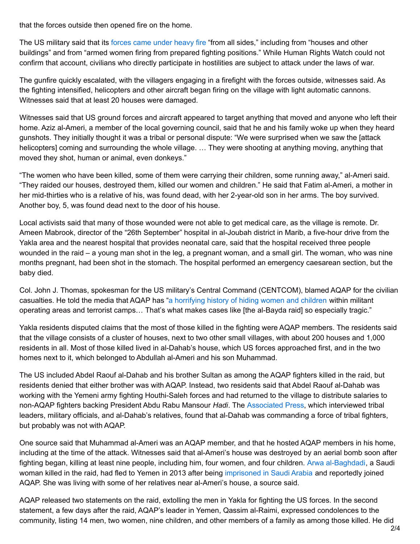that the forces outside then opened fire on the home.

The US military said that its [forces](http://www.centcom.mil/MEDIA/PRESS-RELEASES/Press-Release-View/Article/1068267/us-central-command-statement-on-yemen-raid/) came under heavy fire "from all sides," including from "houses and other buildings" and from "armed women firing from prepared fighting positions." While Human Rights Watch could not confirm that account, civilians who directly participate in hostilities are subject to attack under the laws of war.

The gunfire quickly escalated, with the villagers engaging in a firefight with the forces outside, witnesses said. As the fighting intensified, helicopters and other aircraft began firing on the village with light automatic cannons. Witnesses said that at least 20 houses were damaged.

Witnesses said that US ground forces and aircraft appeared to target anything that moved and anyone who left their home. Aziz al-Ameri, a member of the local governing council, said that he and his family woke up when they heard gunshots. They initially thought it was a tribal or personal dispute: "We were surprised when we saw the [attack helicopters] coming and surrounding the whole village. … They were shooting at anything moving, anything that moved they shot, human or animal, even donkeys."

"The women who have been killed, some of them were carrying their children, some running away," al-Ameri said. "They raided our houses, destroyed them, killed our women and children." He said that Fatim al-Ameri, a mother in her mid-thirties who is a relative of his, was found dead, with her 2-year-old son in her arms. The boy survived. Another boy, 5, was found dead next to the door of his house.

Local activists said that many of those wounded were not able to get medical care, as the village is remote. Dr. Ameen Mabrook, director of the "26th September" hospital in al-Joubah district in Marib, a five-hour drive from the Yakla area and the nearest hospital that provides neonatal care, said that the hospital received three people wounded in the raid – a young man shot in the leg, a pregnant woman, and a small girl. The woman, who was nine months pregnant, had been shot in the stomach. The hospital performed an emergency caesarean section, but the baby died.

Col. John J. Thomas, spokesman for the US military's Central Command (CENTCOM), blamed AQAP for the civilian casualties. He told the media that AQAP has "a [horrifying](http://www.centcom.mil/MEDIA/PRESS-RELEASES/Press-Release-View/Article/1068267/us-central-command-statement-on-yemen-raid/) history of hiding women and children within militant operating areas and terrorist camps… That's what makes cases like [the al-Bayda raid] so especially tragic."

Yakla residents disputed claims that the most of those killed in the fighting were AQAP members. The residents said that the village consists of a cluster of houses, next to two other small villages, with about 200 houses and 1,000 residents in all. Most of those killed lived in al-Dahab's house, which US forces approached first, and in the two homes next to it, which belonged to Abdullah al-Ameri and his son Muhammad.

The US included Abdel Raouf al-Dahab and his brother Sultan as among the AQAP fighters killed in the raid, but residents denied that either brother was with AQAP. Instead, two residents said that Abdel Raouf al-Dahab was working with the Yemeni army fighting Houthi-Saleh forces and had returned to the village to distribute salaries to non-AQAP fighters backing President Abdu Rabu Mansour *Hadi*. The [Associated](http://bigstory.ap.org/article/d927fc2962f44a6d8edf6a790b556bbc/pro-government-tribal-leader-among-dead-us-raid-yemen) Press, which interviewed tribal leaders, military officials, and al-Dahab's relatives, found that al-Dahab was commanding a force of tribal fighters, but probably was not with AQAP.

One source said that Muhammad al-Ameri was an AQAP member, and that he hosted AQAP members in his home, including at the time of the attack. Witnesses said that al-Ameri's house was destroyed by an aerial bomb soon after fighting began, killing at least nine people, including him, four women, and four children. Arwa [al-Baghdadi](http://english.alarabiya.net/en/perspective/profiles/2014/05/08/Arwa-Baghdadi-the-Saudi-woman-who-fled-into-the-arms-of-al-Qaeda-in-Yemen.html), a Saudi woman killed in the raid, had fled to Yemen in 2013 after being [imprisoned](http://english.alarabiya.net/en/perspective/profiles/2014/05/08/Arwa-Baghdadi-the-Saudi-woman-who-fled-into-the-arms-of-al-Qaeda-in-Yemen.html) in Saudi Arabia and reportedly joined AQAP. She was living with some of her relatives near al-Ameri's house, a source said.

AQAP released two statements on the raid, extolling the men in Yakla for fighting the US forces. In the second statement, a few days after the raid, AQAP's leader in Yemen, Qassim al-Raimi, expressed condolences to the community, listing 14 men, two women, nine children, and other members of a family as among those killed. He did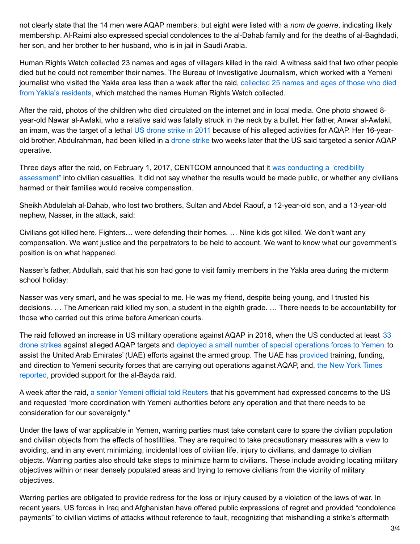not clearly state that the 14 men were AQAP members, but eight were listed with a *nom de guerre*, indicating likely membership. Al-Raimi also expressed special condolences to the al-Dahab family and for the deaths of al-Baghdadi, her son, and her brother to her husband, who is in jail in Saudi Arabia.

Human Rights Watch collected 23 names and ages of villagers killed in the raid. A witness said that two other people died but he could not remember their names. The Bureau of Investigative Journalism, which worked with a Yemeni journalist who visited the Yakla area less than a week after the raid, collected 25 names and ages of those who died from Yakla's [residents,](https://www.thebureauinvestigates.com/2017/02/08/nine-young-children-killed-full-details-botched-us-raid-yemen/) which matched the names Human Rights Watch collected.

After the raid, photos of the children who died circulated on the internet and in local media. One photo showed 8 year-old Nawar al-Awlaki, who a relative said was fatally struck in the neck by a bullet. Her father, Anwar al-Awlaki, an imam, was the target of a lethal US [drone](https://www.hrw.org/report/2013/10/22/between-drone-and-al-qaeda/civilian-cost-us-targeted-killings-yemen) strike in 2011 because of his alleged activities for AQAP. Her 16-yearold brother, Abdulrahman, had been killed in a [drone](https://www.hrw.org/news/2012/05/31/losing-yemeni-hearts-and-minds) strike two weeks later that the US said targeted a senior AQAP operative.

Three days after the raid, on February 1, 2017, CENTCOM announced that it was conducting a "credibility [assessment"](http://www.centcom.mil/MEDIA/PRESS-RELEASES/Press-Release-View/Article/1068267/us-central-command-statement-on-yemen-raid/) into civilian casualties. It did not say whether the results would be made public, or whether any civilians harmed or their families would receive compensation.

Sheikh Abdulelah al-Dahab, who lost two brothers, Sultan and Abdel Raouf, a 12-year-old son, and a 13-year-old nephew, Nasser, in the attack, said:

Civilians got killed here. Fighters… were defending their homes. … Nine kids got killed. We don't want any compensation. We want justice and the perpetrators to be held to account. We want to know what our government's position is on what happened.

Nasser's father, Abdullah, said that his son had gone to visit family members in the Yakla area during the midterm school holiday:

Nasser was very smart, and he was special to me. He was my friend, despite being young, and I trusted his decisions. … The American raid killed my son, a student in the eighth grade. … There needs to be accountability for those who carried out this crime before American courts.

The raid followed an increase in US military [operations](https://www.thebureauinvestigates.com/drone-war/data/yemen-reported-us-covert-actions-2017) against AQAP in 2016, when the US conducted at least 33 drone strikes against alleged AQAP targets and deployed a small number of special [operations](http://www.reuters.com/article/us-usa-yemen-pentagon-idUSKCN0XX1ZJ) forces to Yemen to assist the United Arab Emirates' (UAE) efforts against the armed group. The UAE has [provided](http://www.un.org/ga/search/view_doc.asp?symbol=S/2017/81) training, funding, and direction to Yemeni security forces that are carrying out [operations](https://www.nytimes.com/2017/02/02/world/middleeast/yemen-raid-trump.html) against AQAP, and, the New York Times reported, provided support for the al-Bayda raid.

A week after the raid, a senior Yemeni official told [Reuters](http://www.reuters.com/article/us-yemen-security-usa-idUSKBN15N1AJ) that his government had expressed concerns to the US and requested "more coordination with Yemeni authorities before any operation and that there needs to be consideration for our sovereignty."

Under the laws of war applicable in Yemen, warring parties must take constant care to spare the civilian population and civilian objects from the effects of hostilities. They are required to take precautionary measures with a view to avoiding, and in any event minimizing, incidental loss of civilian life, injury to civilians, and damage to civilian objects. Warring parties also should take steps to minimize harm to civilians. These include avoiding locating military objectives within or near densely populated areas and trying to remove civilians from the vicinity of military objectives.

Warring parties are obligated to provide redress for the loss or injury caused by a violation of the laws of war. In recent years, US forces in Iraq and Afghanistan have offered public expressions of regret and provided "condolence payments" to civilian victims of attacks without reference to fault, recognizing that mishandling a strike's aftermath